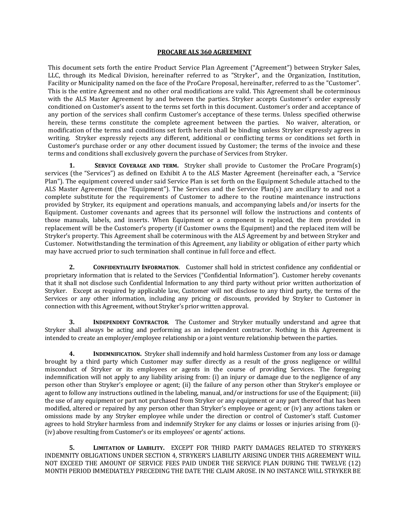## **PROCARE ALS 360 AGREEMENT**

This document sets forth the entire Product Service Plan Agreement ("Agreement") between Stryker Sales, LLC, through its Medical Division, hereinafter referred to as "Stryker", and the Organization, Institution, Facility or Municipality named on the face of the ProCare Proposal, hereinafter, referred to as the "Customer". This is the entire Agreement and no other oral modifications are valid. This Agreement shall be coterminous with the ALS Master Agreement by and between the parties. Stryker accepts Customer's order expressly conditioned on Customer's assent to the terms set forth in this document. Customer's order and acceptance of any portion of the services shall confirm Customer's acceptance of these terms. Unless specified otherwise herein, these terms constitute the complete agreement between the parties. No waiver, alteration, or modification of the terms and conditions set forth herein shall be binding unless Stryker expressly agrees in writing. Stryker expressly rejects any different, additional or conflicting terms or conditions set forth in Customer's purchase order or any other document issued by Customer; the terms of the invoice and these terms and conditions shall exclusively govern the purchase of Services from Stryker.

**1. SERVICE COVERAGE AND TERM.** Stryker shall provide to Customer the ProCare Program(s) services (the "Services") as defined on Exhibit A to the ALS Master Agreement (hereinafter each, a "Service Plan"). The equipment covered under said Service Plan is set forth on the Equipment Schedule attached to the ALS Master Agreement (the "Equipment"). The Services and the Service Plan(s) are ancillary to and not a complete substitute for the requirements of Customer to adhere to the routine maintenance instructions provided by Stryker, its equipment and operations manuals, and accompanying labels and/or inserts for the Equipment. Customer covenants and agrees that its personnel will follow the instructions and contents of those manuals, labels, and inserts. When Equipment or a component is replaced, the item provided in replacement will be the Customer's property (if Customer owns the Equipment) and the replaced item will be Stryker's property. This Agreement shall be coterminous with the ALS Agreement by and between Stryker and Customer. Notwithstanding the termination of this Agreement, any liability or obligation of either party which may have accrued prior to such termination shall continue in full force and effect.

**2. CONFIDENTIALITY INFORMATION**. Customer shall hold in strictest confidence any confidential or proprietary information that is related to the Services ("Confidential Information"). Customer hereby covenants that it shall not disclose such Confidential Information to any third party without prior written authorization of Stryker. Except as required by applicable law, Customer will not disclose to any third party, the terms of the Services or any other information, including any pricing or discounts, provided by Stryker to Customer in connection with this Agreement, without Stryker's prior written approval.

**3. INDEPENDENT CONTRACTOR**. The Customer and Stryker mutually understand and agree that Stryker shall always be acting and performing as an independent contractor. Nothing in this Agreement is intended to create an employer/employee relationship or a joint venture relationship between the parties.

**4. INDEMNIFICATION.** Stryker shall indemnify and hold harmless Customer from any loss or damage brought by a third party which Customer may suffer directly as a result of the gross negligence or willful misconduct of Stryker or its employees or agents in the course of providing Services. The foregoing indemnification will not apply to any liability arising from: (i) an injury or damage due to the negligence of any person other than Stryker's employee or agent; (ii) the failure of any person other than Stryker's employee or agent to follow any instructions outlined in the labeling, manual, and/or instructions for use of the Equipment; (iii) the use of any equipment or part not purchased from Stryker or any equipment or any part thereof that has been modified, altered or repaired by any person other than Stryker's employee or agent; or (iv) any actions taken or omissions made by any Stryker employee while under the direction or control of Customer's staff. Customer agrees to hold Stryker harmless from and indemnify Stryker for any claims or losses or injuries arising from (i)- (iv) above resulting from Customer's or its employees' or agents' actions.

**5. LIMITATION OF LIABILITY.** EXCEPT FOR THIRD PARTY DAMAGES RELATED TO STRYKER'S INDEMNITY OBLIGATIONS UNDER SECTION 4, STRYKER'S LIABILITY ARISING UNDER THIS AGREEMENT WILL NOT EXCEED THE AMOUNT OF SERVICE FEES PAID UNDER THE SERVICE PLAN DURING THE TWELVE (12) MONTH PERIOD IMMEDIATELY PRECEDING THE DATE THE CLAIM AROSE. IN NO INSTANCE WILL STRYKER BE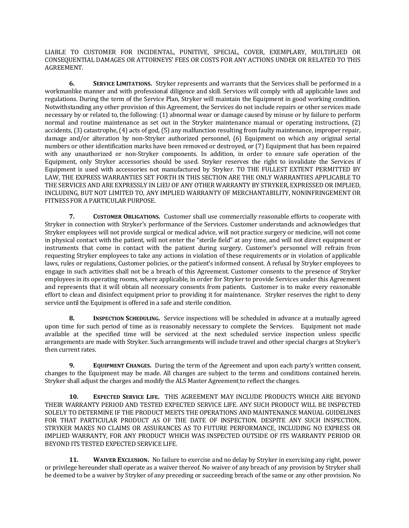LIABLE TO CUSTOMER FOR INCIDENTAL, PUNITIVE, SPECIAL, COVER, EXEMPLARY, MULTIPLIED OR CONSEQUENTIAL DAMAGES OR ATTORNEYS' FEES OR COSTS FOR ANY ACTIONS UNDER OR RELATED TO THIS AGREEMENT.

**6. SERVICE LIMITATIONS.** Stryker represents and warrants that the Services shall be performed in a workmanlike manner and with professional diligence and skill. Services will comply with all applicable laws and regulations. During the term of the Service Plan, Stryker will maintain the Equipment in good working condition. Notwithstanding any other provision of this Agreement, the Services do not include repairs or other services made necessary by or related to, the following: (1) abnormal wear or damage caused by misuse or by failure to perform normal and routine maintenance as set out in the Stryker maintenance manual or operating instructions, (2) accidents, (3) catastrophe, (4) acts of god, (5) any malfunction resulting from faulty maintenance, improper repair, damage and/or alteration by non-Stryker authorized personnel, (6) Equipment on which any original serial numbers or other identification marks have been removed or destroyed, or (7) Equipment that has been repaired with any unauthorized or non-Stryker components. In addition, in order to ensure safe operation of the Equipment, only Stryker accessories should be used. Stryker reserves the right to invalidate the Services if Equipment is used with accessories not manufactured by Stryker. TO THE FULLEST EXTENT PERMITTED BY LAW, THE EXPRESS WARRANTIES SET FORTH IN THIS SECTION ARE THE ONLY WARRANTIES APPLICABLE TO THE SERVICES AND ARE EXPRESSLY IN LIEU OF ANY OTHER WARRANTY BY STRYKER, EXPRESSED OR IMPLIED, INCLUDING, BUT NOT LIMITED TO, ANY IMPLIED WARRANTY OF MERCHANTABILITY, NONINFRINGEMENT OR FITNESS FOR A PARTICULAR PURPOSE.

**7. CUSTOMER OBLIGATIONS.** Customer shall use commercially reasonable efforts to cooperate with Stryker in connection with Stryker's performance of the Services. Customer understands and acknowledges that Stryker employees will not provide surgical or medical advice, will not practice surgery or medicine, will not come in physical contact with the patient, will not enter the "sterile field" at any time, and will not direct equipment or instruments that come in contact with the patient during surgery. Customer's personnel will refrain from requesting Stryker employees to take any actions in violation of these requirements or in violation of applicable laws, rules or regulations, Customer policies, or the patient's informed consent. A refusal by Stryker employees to engage in such activities shall not be a breach of this Agreement. Customer consents to the presence of Stryker employees in its operating rooms, where applicable, in order for Stryker to provide Services under this Agreement and represents that it will obtain all necessary consents from patients. Customer is to make every reasonable effort to clean and disinfect equipment prior to providing it for maintenance. Stryker reserves the right to deny service until the Equipment is offered in a safe and sterile condition.

**8. INSPECTION SCHEDULING.** Service inspections will be scheduled in advance at a mutually agreed upon time for such period of time as is reasonably necessary to complete the Services. Equipment not made available at the specified time will be serviced at the next scheduled service inspection unless specific arrangements are made with Stryker. Such arrangements will include travel and other special charges at Stryker's then current rates.

**9. EQUIPMENT CHANGES.** During the term of the Agreement and upon each party's written consent, changes to the Equipment may be made. All changes are subject to the terms and conditions contained herein. Stryker shall adjust the charges and modify the ALS Master Agreement to reflect the changes.

**10. EXPECTED SERVICE LIFE.** THIS AGREEMENT MAY INCLUDE PRODUCTS WHICH ARE BEYOND THEIR WARRANTY PERIOD AND TESTED EXPECTED SERVICE LIFE. ANY SUCH PRODUCT WILL BE INSPECTED SOLELY TO DETERMINE IF THE PRODUCT MEETS THE OPERATIONS AND MAINTENANCE MANUAL GUIDELINES FOR THAT PARTICULAR PRODUCT AS OF THE DATE OF INSPECTION. DESPITE ANY SUCH INSPECTION, STRYKER MAKES NO CLAIMS OR ASSURANCES AS TO FUTURE PERFORMANCE, INCLUDING NO EXPRESS OR IMPLIED WARRANTY, FOR ANY PRODUCT WHICH WAS INSPECTED OUTSIDE OF ITS WARRANTY PERIOD OR BEYOND ITS TESTED EXPECTED SERVICE LIFE.

**11. WAIVER EXCLUSION.** No failure to exercise and no delay by Stryker in exercising any right, power or privilege hereunder shall operate as a waiver thereof. No waiver of any breach of any provision by Stryker shall be deemed to be a waiver by Stryker of any preceding or succeeding breach of the same or any other provision. No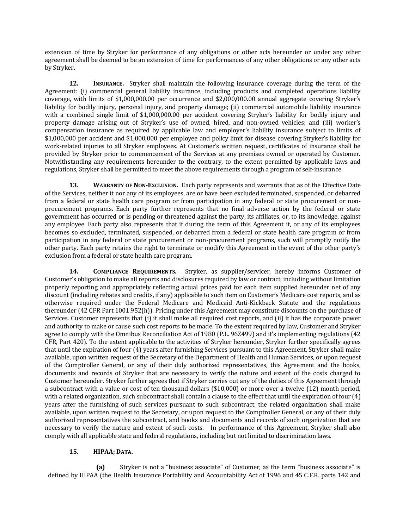extension of time by Stryker for performance of any obligations or other acts hereunder or under any other agreement shall be deemed to be an extension of time for performances of any other obligations or any other acts by Stryker.

**12. INSURANCE.** Stryker shall maintain the following insurance coverage during the term of the Agreement: (i) commercial general liability insurance, including products and completed operations liability coverage, with limits of \$1,000,000.00 per occurrence and \$2,000,000.00 annual aggregate covering Stryker's liability for bodily injury, personal injury, and property damage; (ii) commercial automobile liability insurance with a combined single limit of \$1,000,000.00 per accident covering Stryker's liability for bodily injury and property damage arising out of Stryker's use of owned, hired, and non-owned vehicles; and (iii) worker's compensation insurance as required by applicable law and employer's liability insurance subject to limits of \$1,000,000 per accident and \$1,000,000 per employee and policy limit for disease covering Stryker's liability for work-related injuries to all Stryker employees. At Customer's written request, certificates of insurance shall be provided by Stryker prior to commencement of the Services at any premises owned or operated by Customer. Notwithstanding any requirements hereunder to the contrary, to the extent permitted by applicable laws and regulations, Stryker shall be permitted to meet the above requirements through a program of self-insurance.

**13. WARRANTY OF NON-EXCLUSION.** Each party represents and warrants that as of the Effective Date of the Services, neither it nor any of its employees, are or have been excluded terminated, suspended, or debarred from a federal or state health care program or from participation in any federal or state procurement or nonprocurement programs. Each party further represents that no final adverse action by the federal or state government has occurred or is pending or threatened against the party, its affiliates, or, to its knowledge, against any employee. Each party also represents that if during the term of this Agreement it, or any of its employees becomes so excluded, terminated, suspended, or debarred from a federal or state health care program or from participation in any federal or state procurement or non-procurement programs, such will promptly notify the other party. Each party retains the right to terminate or modify this Agreement in the event of the other party's exclusion from a federal or state health care program.

**14. COMPLIANCE REQUIREMENTS.** Stryker, as supplier/servicer, hereby informs Customer of Customer's obligation to make all reports and disclosures required by law or contract, including without limitation properly reporting and appropriately reflecting actual prices paid for each item supplied hereunder net of any discount (including rebates and credits, if any) applicable to such item on Customer's Medicare cost reports, and as otherwise required under the Federal Medicare and Medicaid Anti-Kickback Statute and the regulations thereunder (42 CFR Part 1001.952(h)). Pricing under this Agreement may constitute discounts on the purchase of Services. Customer represents that (i) it shall make all required cost reports, and (ii) it has the corporate power and authority to make or cause such cost reports to be made. To the extent required by law, Customer and Stryker agree to comply with the Omnibus Reconciliation Act of 1980 (P.L. 96Z499) and it's implementing regulations (42 CFR, Part 420). To the extent applicable to the activities of Stryker hereunder, Stryker further specifically agrees that until the expiration of four (4) years after furnishing Services pursuant to this Agreement, Stryker shall make available, upon written request of the Secretary of the Department of Health and Human Services, or upon request of the Comptroller General, or any of their duly authorized representatives, this Agreement and the books, documents and records of Stryker that are necessary to verify the nature and extent of the costs charged to Customer hereunder. Stryker further agrees that if Stryker carries out any of the duties of this Agreement through a subcontract with a value or cost of ten thousand dollars (\$10,000) or more over a twelve (12) month period, with a related organization, such subcontract shall contain a clause to the effect that until the expiration of four (4) years after the furnishing of such services pursuant to such subcontract, the related organization shall make available, upon written request to the Secretary, or upon request to the Comptroller General, or any of their duly authorized representatives the subcontract, and books and documents and records of such organization that are necessary to verify the nature and extent of such costs. In performance of this Agreement, Stryker shall also comply with all applicable state and federal regulations, including but not limited to discrimination laws.

## **15. HIPAA; DATA.**

**(a)** Stryker is not a "business associate" of Customer, as the term "business associate" is defined by HIPAA (the Health Insurance Portability and Accountability Act of 1996 and 45 C.F.R. parts 142 and